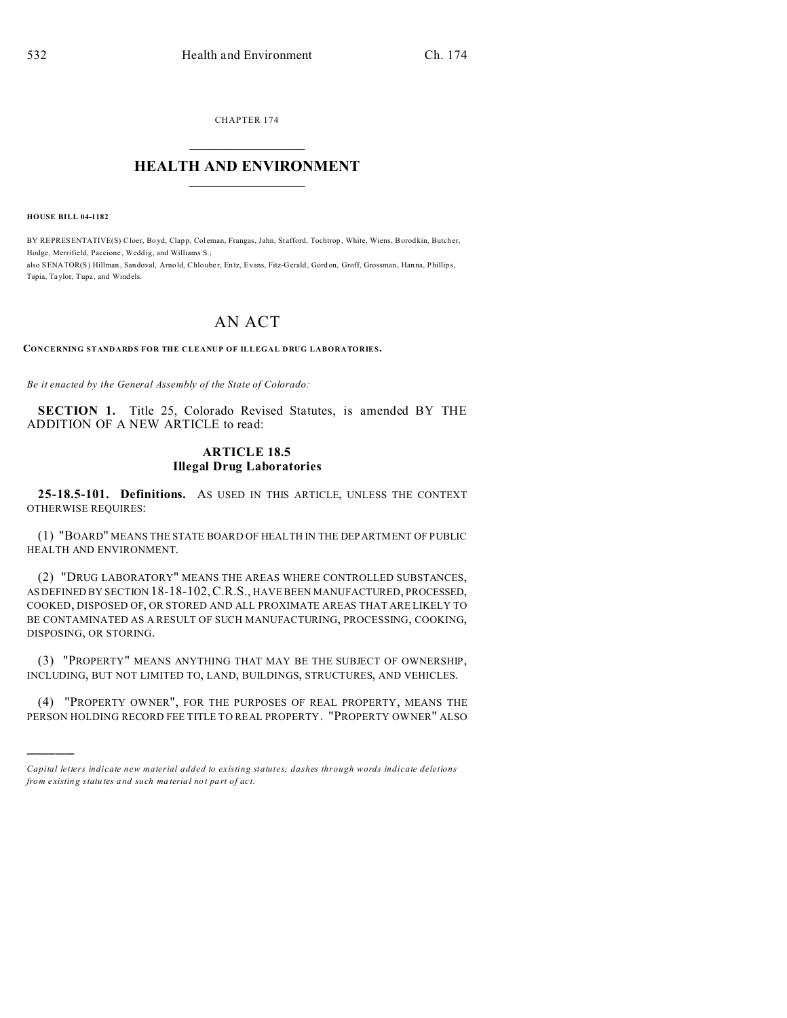CHAPTER 174

## **HEALTH AND ENVIRONMENT**

**HOUSE BILL 04-1182** 

BY REPRESENTATIVE(S) Cloer, Boyd, Clapp, Coleman, Frangas, Jahn, Stafford, Tochtrop, White, Wiens, Borodkin, Butcher, Hodge, Merrifield, Paccione, Weddig, and Williams S.; also SENATOR(S) Hillman, Sandoval, Arnold, Chlouber, Entz, Evans, Fitz-Gerald, Gordon, Groff, Grossman, Hanna, Phillips, Tapia, Taylor, Tupa, and Windels.

## **AN ACT**

CONCERNING STANDARDS FOR THE CLEANUP OF ILLEGAL DRUG LABORATORIES.

Be it enacted by the General Assembly of the State of Colorado:

SECTION 1. Title 25, Colorado Revised Statutes, is amended BY THE ADDITION OF A NEW ARTICLE to read:

## **ARTICLE 18.5 Illegal Drug Laboratories**

25-18.5-101. Definitions. As USED IN THIS ARTICLE, UNLESS THE CONTEXT OTHERWISE REQUIRES:

(1) "BOARD" MEANS THE STATE BOARD OF HEALTH IN THE DEP ARTMENT OF PUBLIC HEALTH AND ENVIRONMENT.

(2) "DRUG LABORATORY" MEANS THE AREAS WHERE CONTROLLED SUBSTANCES, AS DEFINED BY SECTION 18-18-102, C.R.S., HAVE BEEN MANUFACTURED, PROCESSED, COOKED, DISPOSED OF, OR STORED AND ALL PROXIMATE AREAS THAT ARE LIKELY TO BE CONTAMINATED AS A RESULT OF SUCH MANUFACTURING, PROCESSING, COOKING, DISPOSING, OR STORING.

(3) "PROPERTY" MEANS ANYTHING THAT MAY BE THE SUBJECT OF OWNERSHIP, INCLUDING, BUT NOT LIMITED TO, LAND, BUILDINGS, STRUCTURES, AND VEHICLES.

(4) "PROPERTY OWNER", FOR THE PURPOSES OF REAL PROPERTY, MEANS THE PERSON HOLDING RECORD FEE TITLE TO REAL PROPERTY. "PROPERTY OWNER" ALSO

Capital letters indicate new material added to existing statutes; dashes through words indicate deletions from existing statutes and such material not part of act.